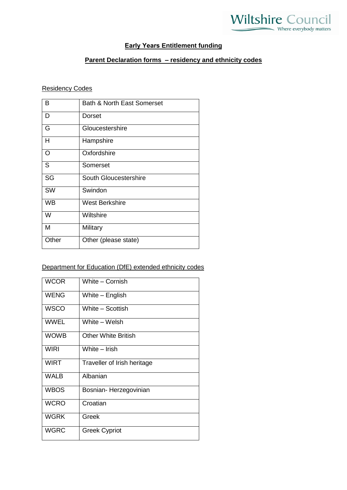## **Early Years Entitlement funding**

## **Parent Declaration forms – residency and ethnicity codes**

## Residency Codes

| В        | <b>Bath &amp; North East Somerset</b> |
|----------|---------------------------------------|
| D        | Dorset                                |
| G        | Gloucestershire                       |
| н        | Hampshire                             |
| $\Omega$ | Oxfordshire                           |
| S        | Somerset                              |
| SG       | South Gloucestershire                 |
| SW       | Swindon                               |
| WB       | West Berkshire                        |
| W        | Wiltshire                             |
| M        | Military                              |
| Other    | Other (please state)                  |

## Department for Education (DfE) extended ethnicity codes

| <b>WCOR</b> | White - Cornish             |
|-------------|-----------------------------|
| <b>WENG</b> | White – English             |
| <b>WSCO</b> | White - Scottish            |
| <b>WWEL</b> | White - Welsh               |
| <b>WOWB</b> | Other White British         |
| <b>WIRI</b> | White - Irish               |
| <b>WIRT</b> | Traveller of Irish heritage |
| <b>WALB</b> | Albanian                    |
| <b>WBOS</b> | Bosnian-Herzegovinian       |
| <b>WCRO</b> | Croatian                    |
| <b>WGRK</b> | Greek                       |
| <b>WGRC</b> | <b>Greek Cypriot</b>        |
|             |                             |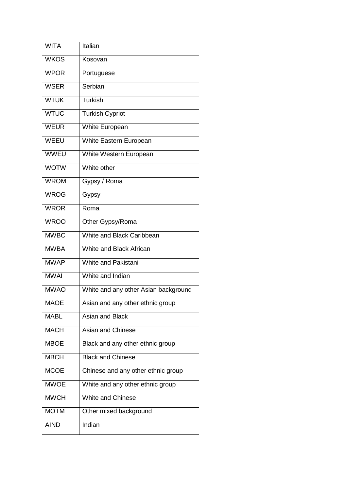| <b>WITA</b> | Italian                              |
|-------------|--------------------------------------|
| <b>WKOS</b> | Kosovan                              |
| <b>WPOR</b> | Portuguese                           |
| <b>WSER</b> | Serbian                              |
| <b>WTUK</b> | <b>Turkish</b>                       |
| <b>WTUC</b> | <b>Turkish Cypriot</b>               |
| <b>WEUR</b> | <b>White European</b>                |
| WEEU        | White Eastern European               |
| <b>WWEU</b> | White Western European               |
| <b>WOTW</b> | White other                          |
| <b>WROM</b> | Gypsy / Roma                         |
| <b>WROG</b> | Gypsy                                |
| <b>WROR</b> | Roma                                 |
| <b>WROO</b> | Other Gypsy/Roma                     |
| <b>MWBC</b> | White and Black Caribbean            |
| <b>MWBA</b> | White and Black African              |
| <b>MWAP</b> | <b>White and Pakistani</b>           |
| <b>MWAI</b> | White and Indian                     |
| <b>MWAO</b> | White and any other Asian background |
| <b>MAOE</b> | Asian and any other ethnic group     |
| <b>MABL</b> | Asian and Black                      |
| <b>MACH</b> | <b>Asian and Chinese</b>             |
| <b>MBOE</b> | Black and any other ethnic group     |
| <b>MBCH</b> | <b>Black and Chinese</b>             |
| <b>MCOE</b> | Chinese and any other ethnic group   |
| <b>MWOE</b> | White and any other ethnic group     |
| <b>MWCH</b> | <b>White and Chinese</b>             |
| <b>MOTM</b> | Other mixed background               |
| <b>AIND</b> | Indian                               |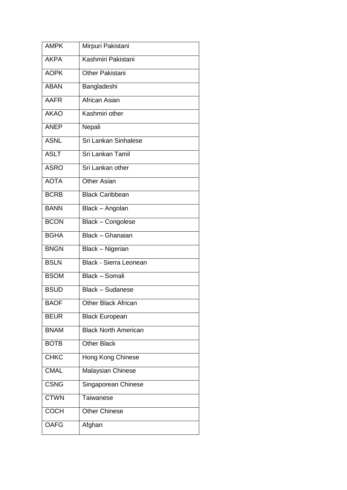| <b>AMPK</b> | Mirpuri Pakistani             |
|-------------|-------------------------------|
| <b>AKPA</b> | Kashmiri Pakistani            |
| <b>AOPK</b> | Other Pakistani               |
| <b>ABAN</b> | Bangladeshi                   |
| <b>AAFR</b> | African Asian                 |
| <b>AKAO</b> | Kashmiri other                |
| <b>ANEP</b> | Nepali                        |
| <b>ASNL</b> | Sri Lankan Sinhalese          |
| <b>ASLT</b> | Sri Lankan Tamil              |
| <b>ASRO</b> | Sri Lankan other              |
| <b>AOTA</b> | <b>Other Asian</b>            |
| <b>BCRB</b> | <b>Black Caribbean</b>        |
| <b>BANN</b> | Black - Angolan               |
| <b>BCON</b> | <b>Black - Congolese</b>      |
| <b>BGHA</b> | Black - Ghanaian              |
| <b>BNGN</b> | Black - Nigerian              |
| <b>BSLN</b> | <b>Black - Sierra Leonean</b> |
| <b>BSOM</b> | Black - Somali                |
| <b>BSUD</b> | <b>Black - Sudanese</b>       |
| <b>BAOF</b> | <b>Other Black African</b>    |
| <b>BEUR</b> | <b>Black European</b>         |
| <b>BNAM</b> | <b>Black North American</b>   |
| <b>BOTB</b> | <b>Other Black</b>            |
| <b>CHKC</b> | Hong Kong Chinese             |
| <b>CMAL</b> | Malaysian Chinese             |
| <b>CSNG</b> | Singaporean Chinese           |
| <b>CTWN</b> | Taiwanese                     |
| <b>COCH</b> | <b>Other Chinese</b>          |
| <b>OAFG</b> | Afghan                        |